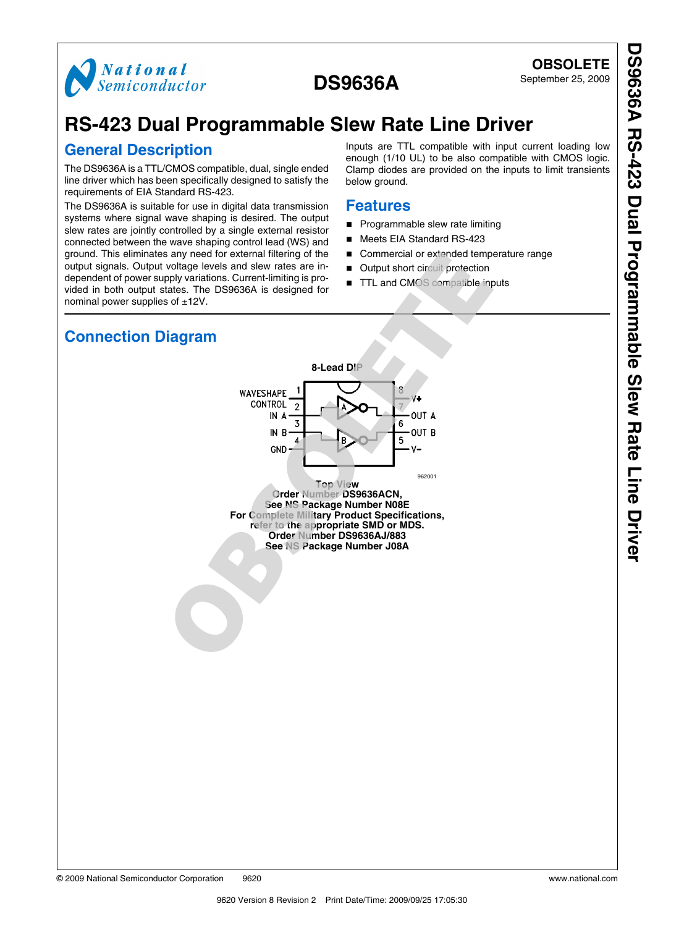

DS9636A RS-423 Dual Programmable Slew Rate Line Drive **DS9636A RS-423 Dual Programmable Slew Rate Line Driver**

# **RS-423 Dual Programmable Slew Rate Line Driver**

### **General Description**

The DS9636A is a TTL/CMOS compatible, dual, single ended line driver which has been specifically designed to satisfy the requirements of EIA Standard RS-423.

The DS9636A is suitable for use in digital data transmission systems where signal wave shaping is desired. The output slew rates are jointly controlled by a single external resistor connected between the wave shaping control lead (WS) and ground. This eliminates any need for external filtering of the output signals. Output voltage levels and slew rates are independent of power supply variations. Current-limiting is provided in both output states. The DS9636A is designed for nominal power supplies of ±12V.

Inputs are TTL compatible with input current loading low enough (1/10 UL) to be also compatible with CMOS logic. Clamp diodes are provided on the inputs to limit transients below ground.

#### **Features**

- Programmable slew rate limiting
- Meets EIA Standard RS-423
- Commercial or extended temperature range
- Output short circuit protection
- TTL and CMOS compatible inputs

# **Connection Diagram**



**Order Number DS9636AJ/883 See NS Package Number J08A**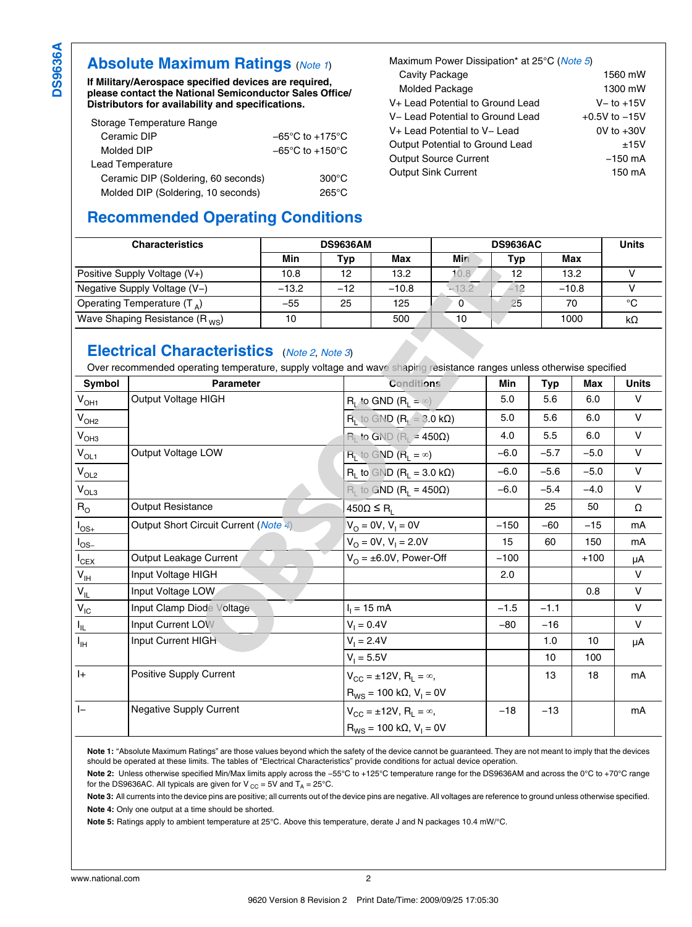### **Absolute Maximum Ratings** (*Note 1*)

**If Military/Aerospace specified devices are required, please contact the National Semiconductor Sales Office/ Distributors for availability and specifications.**

| Storage Temperature Range           |                                     |
|-------------------------------------|-------------------------------------|
| Ceramic DIP                         | $-65^{\circ}$ C to $+175^{\circ}$ C |
| Molded DIP                          | $-65^{\circ}$ C to $+150^{\circ}$ C |
| Lead Temperature                    |                                     |
| Ceramic DIP (Soldering, 60 seconds) | $300^{\circ}$ C                     |
| Molded DIP (Soldering, 10 seconds)  | 265°C                               |

# **Recommended Operating Conditions**

| Maximum Power Dissipation* at 25°C (Note 5) |                   |  |  |  |  |
|---------------------------------------------|-------------------|--|--|--|--|
| Cavity Package                              | 1560 mW           |  |  |  |  |
| Molded Package                              | 1300 mW           |  |  |  |  |
| V+ Lead Potential to Ground Lead            | $V -$ to $+15V$   |  |  |  |  |
| V- Lead Potential to Ground Lead            | $+0.5V$ to $-15V$ |  |  |  |  |
| V+ Lead Potential to V- Lead                | $0V$ to $+30V$    |  |  |  |  |
| Output Potential to Ground Lead             | ±15V              |  |  |  |  |
| <b>Output Source Current</b>                | $-150$ mA         |  |  |  |  |
| <b>Output Sink Current</b>                  | 150 mA            |  |  |  |  |

| <b>Characteristics</b>             | <b>DS9636AM</b> |       |         | <b>DS9636AC</b> |     |            | <b>Units</b> |  |
|------------------------------------|-----------------|-------|---------|-----------------|-----|------------|--------------|--|
|                                    | Min             | Typ   | Max     | Min             | Typ | <b>Max</b> |              |  |
| Positive Supply Voltage (V+)       | 10.8            | 12    | 13.2    | 10.8            | 12  | 13.2       |              |  |
| Negative Supply Voltage (V-)       | $-13.2$         | $-12$ | $-10.8$ | $-13.2$         |     | $-10.8$    |              |  |
| Operating Temperature $(T_A)$      | $-55$           | 25    | 125     | 0               | 25  | 70         | °C           |  |
| Wave Shaping Resistance $(R_{WS})$ | 10              |       | 500     | 10              |     | 1000       | kΩ           |  |

### **Electrical Characteristics** (*Note 2*, *Note 3*)

Over recommended operating temperature, supply voltage and wave shaping resistance ranges unless otherwise specified

| Symbol                     | <b>Parameter</b>                      | <b>Conditions</b>                                     | <b>Min</b> | <b>Typ</b> | Max    | <b>Units</b> |
|----------------------------|---------------------------------------|-------------------------------------------------------|------------|------------|--------|--------------|
| $V_{OH1}$                  | Output Voltage HIGH                   | $R_L$ to GND $(R_L = \infty)$                         | 5.0        | 5.6        | 6.0    | V            |
| $V_{OH2}$                  |                                       | $\overline{R}_L$ to GND $(R_L = 3.0 \text{ k}\Omega)$ | 5.0        | 5.6        | 6.0    | $\vee$       |
| $V_{OH3}$                  |                                       | $R_L$ to GND ( $R_L$ = 450 $\Omega$ )                 | 4.0        | 5.5        | 6.0    | $\mathsf{V}$ |
| $V_{OL1}$                  | Output Voltage LOW                    | $R_L$ to GND $(R_L = \infty)$                         | $-6.0$     | $-5.7$     | $-5.0$ | $\vee$       |
| $V_{OL2}$                  |                                       | $R_1$ to GND $(R_1 = 3.0 \text{ k}\Omega)$            | $-6.0$     | $-5.6$     | $-5.0$ | $\vee$       |
| $V_{OL3}$                  |                                       | $R_1$ to GND ( $R_1 = 450\Omega$ )                    | $-6.0$     | $-5.4$     | $-4.0$ | V            |
| $R_{\rm O}$                | Output Resistance                     | $450\Omega \leq R_1$                                  |            | 25         | 50     | Ω            |
| $I_{OS+}$                  | Output Short Circuit Current (Note 4) | $V_{O} = 0V, V_{I} = 0V$                              | $-150$     | $-60$      | $-15$  | mA           |
| $I_{OS-}$                  |                                       | $V_O = 0V, V_I = 2.0V$                                | 15         | 60         | 150    | mA           |
| $I_{CEX}$                  | Output Leakage Current                | $V_{O} = \pm 6.0 V$ , Power-Off                       | $-100$     |            | $+100$ | μA           |
| $\mathsf{V}_{\mathsf{IH}}$ | Input Voltage HIGH                    |                                                       | 2.0        |            |        | $\mathsf{V}$ |
| $\mathsf{V}_{\mathsf{IL}}$ | Input Voltage LOW                     |                                                       |            |            | 0.8    | V            |
| $V_{IC}$                   | Input Clamp Diode Voltage.            | $I_1 = 15$ mA                                         | $-1.5$     | $-1.1$     |        | $\mathsf{V}$ |
| $\mathsf{I}_{\mathsf{IL}}$ | Input Current LOW                     | $V_1 = 0.4V$                                          | $-80$      | $-16$      |        | $\mathsf{V}$ |
| $I_{\rm IH}$               | Input Current HIGH                    | $V_1 = 2.4V$                                          |            | 1.0        | 10     | μA           |
|                            |                                       | $V_1 = 5.5V$                                          |            | 10         | 100    |              |
| $\vert + \vert$            | <b>Positive Supply Current</b>        | $V_{CC} = \pm 12V$ , $R_L = \infty$ ,                 |            | 13         | 18     | mA           |
|                            |                                       | $R_{WS} = 100 \text{ k}\Omega$ , $V_1 = 0V$           |            |            |        |              |
| $\mathsf{I}$               | <b>Negative Supply Current</b>        | $V_{CC} = \pm 12V$ , $R_1 = \infty$ ,                 | $-18$      | $-13$      |        | mA           |
|                            |                                       | $R_{WS} = 100 \text{ k}\Omega, V_1 = 0V$              |            |            |        |              |

**Note 1:** "Absolute Maximum Ratings" are those values beyond which the safety of the device cannot be guaranteed. They are not meant to imply that the devices should be operated at these limits. The tables of "Electrical Characteristics" provide conditions for actual device operation.

**Note 2:** Unless otherwise specified Min/Max limits apply across the −55°C to +125°C temperature range for the DS9636AM and across the 0°C to +70°C range for the DS9636AC. All typicals are given for V  $_{\rm CC}$  = 5V and T<sub>A</sub> = 25°C.

**Note 3:** All currents into the device pins are positive; all currents out of the device pins are negative. All voltages are reference to ground unless otherwise specified. **Note 4:** Only one output at a time should be shorted.

**Note 5:** Ratings apply to ambient temperature at 25°C. Above this temperature, derate J and N packages 10.4 mW/°C.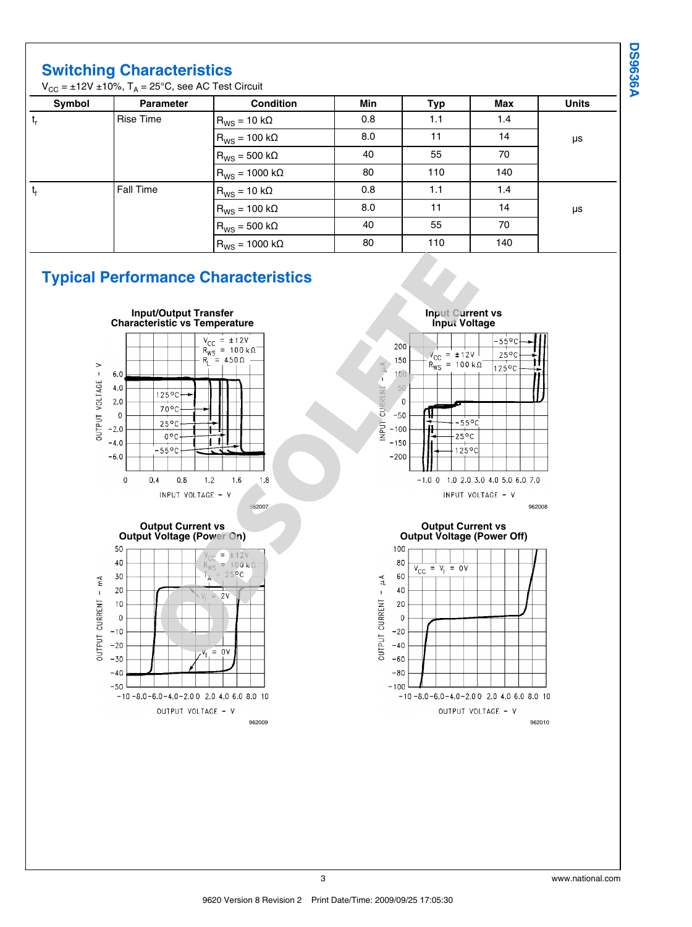**DS9636A DS9636A**

## **Switching Characteristics**

 $\rm V_{CC}$  = ±12V ±10%, T<sub>A</sub> = 25°C, see AC Test Circuit

| Symbol | <b>Parameter</b> | <b>Condition</b>          | Min | Typ | Max | <b>Units</b> |
|--------|------------------|---------------------------|-----|-----|-----|--------------|
| t,     | Rise Time        | $R_{WS}$ = 10 kΩ          | 0.8 | 1.1 | 1.4 |              |
|        |                  | $R_{WS}$ = 100 kΩ         | 8.0 | 11  | 14  | μs           |
|        |                  | $R_{\text{WS}}$ = 500 kΩ  | 40  | 55  | 70  |              |
|        |                  | $R_{WS}$ = 1000 kΩ        | 80  | 110 | 140 |              |
| t,     | Fall Time        | $R_{WS} = 10 k\Omega$     | 0.8 | 1.1 | 1.4 |              |
|        |                  | $R_{WS}$ = 100 k $\Omega$ | 8.0 | 11  | 14  | μs           |
|        |                  | $R_{WS}$ = 500 kΩ         | 40  | 55  | 70  |              |
|        |                  | $R_{\text{WS}}$ = 1000 kΩ | 80  | 110 | 140 |              |

# **Typical Performance Characteristics**



OUTPUT VOLTAGE - V

**Input Current vs Input Voltage**  $-55^{\circ}$ C 200  $y_{\rm CC} = \pm 12V$  $25^{\circ}$ C 150  $R_{WS} = 100 k\Omega$  $\forall n$  $125^{\circ}$ C  $10<sup>°</sup>$ Á 50 IRRENT  $\overline{0}$ 공  $-50$ ℡  $-55^{\circ}$ C **TUANI**  $-100$  $-25^{\circ}$ C  $-150$  $125^{\circ}$ C  $-200$  $-1.0$  0 1.0 2.0 3.0 4.0 5.0 6.0 7.0 INPUT VOLTAGE - V 962008

#### **Output Current vs Output Voltage (Power Off)**



962009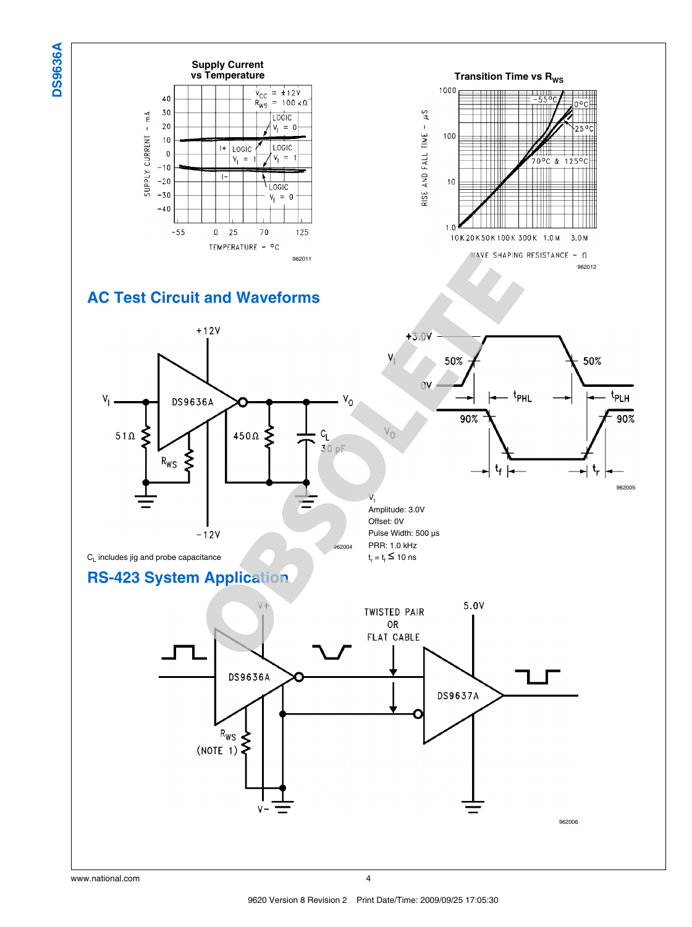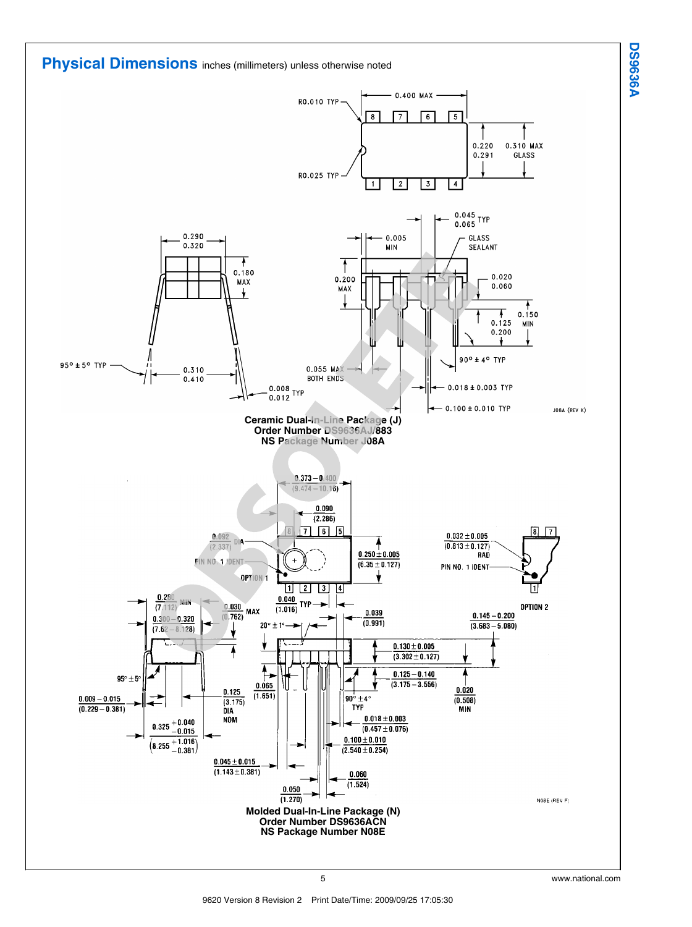

**DS9636A DS9636A**